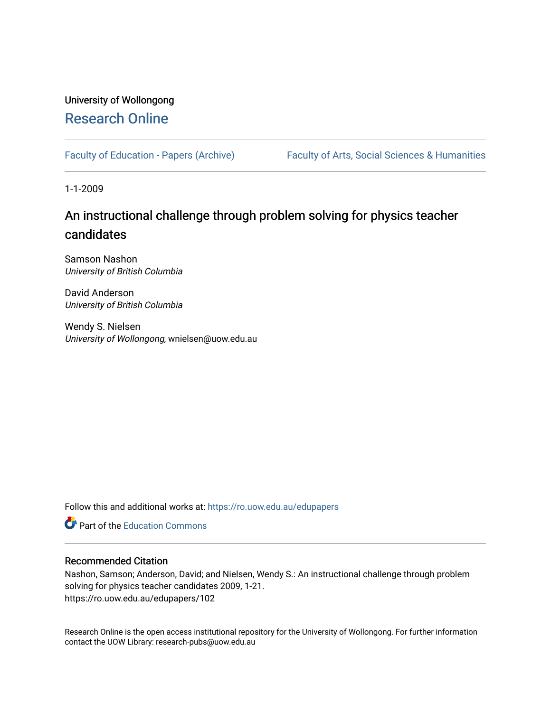### University of Wollongong [Research Online](https://ro.uow.edu.au/)

[Faculty of Education - Papers \(Archive\)](https://ro.uow.edu.au/edupapers) Faculty of Arts, Social Sciences & Humanities

1-1-2009

### An instructional challenge through problem solving for physics teacher candidates

Samson Nashon University of British Columbia

David Anderson University of British Columbia

Wendy S. Nielsen University of Wollongong, wnielsen@uow.edu.au

Follow this and additional works at: [https://ro.uow.edu.au/edupapers](https://ro.uow.edu.au/edupapers?utm_source=ro.uow.edu.au%2Fedupapers%2F102&utm_medium=PDF&utm_campaign=PDFCoverPages) 

**C** Part of the [Education Commons](http://network.bepress.com/hgg/discipline/784?utm_source=ro.uow.edu.au%2Fedupapers%2F102&utm_medium=PDF&utm_campaign=PDFCoverPages)

#### Recommended Citation

Nashon, Samson; Anderson, David; and Nielsen, Wendy S.: An instructional challenge through problem solving for physics teacher candidates 2009, 1-21. https://ro.uow.edu.au/edupapers/102

Research Online is the open access institutional repository for the University of Wollongong. For further information contact the UOW Library: research-pubs@uow.edu.au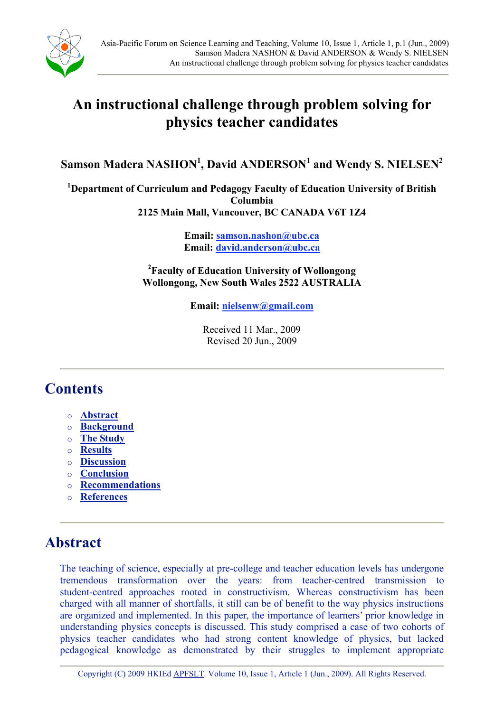

# **An instructional challenge through problem solving for physics teacher candidates**

 $\boldsymbol{\mathsf{S}}$ amson Madera NASHON<sup>1</sup>, David ANDERSON<sup>1</sup> and Wendy S. NIELSEN<sup>2</sup>

**1 Department of Curriculum and Pedagogy Faculty of Education University of British Columbia 2125 Main Mall, Vancouver, BC CANADA V6T 1Z4** 

> **Email: samson.nashon@ubc.ca Email: david.anderson@ubc.ca**

**2 Faculty of Education University of Wollongong Wollongong, New South Wales 2522 AUSTRALIA**

**Email: nielsenw@gmail.com**

Received 11 Mar., 2009 Revised 20 Jun., 2009

### **Contents**

- o **[Abstract](#page-1-0)**
- o **[Background](#page-2-0)**
- o **[The Study](#page-7-0)**
- o **[Results](#page-8-0)**
- o **[Discussion](#page-14-0)**
- o **[Conclusion](#page-18-0)**
- o **[Recommendations](#page-18-0)**
- o **[References](#page-19-0)**

### **Abstract**

<span id="page-1-0"></span>The teaching of science, especially at pre-college and teacher education levels has undergone tremendous transformation over the years: from teacher-centred transmission to student-centred approaches rooted in constructivism. Whereas constructivism has been charged with all manner of shortfalls, it still can be of benefit to the way physics instructions are organized and implemented. In this paper, the importance of learners' prior knowledge in understanding physics concepts is discussed. This study comprised a case of two cohorts of physics teacher candidates who had strong content knowledge of physics, but lacked pedagogical knowledge as demonstrated by their struggles to implement appropriate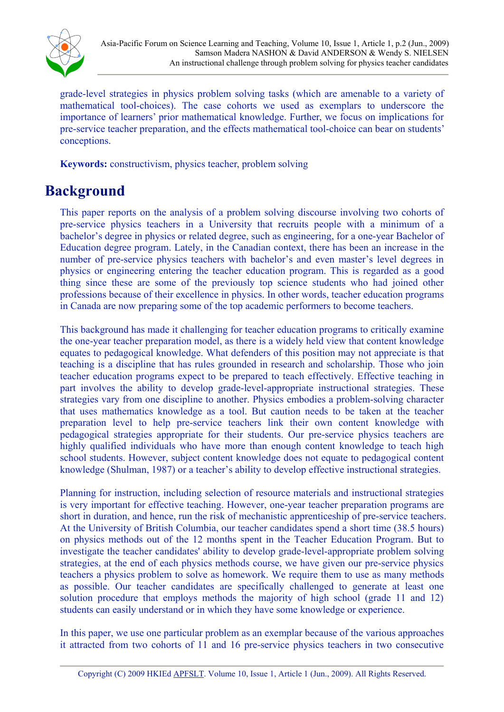

grade-level strategies in physics problem solving tasks (which are amenable to a variety of mathematical tool-choices). The case cohorts we used as exemplars to underscore the importance of learners' prior mathematical knowledge. Further, we focus on implications for pre-service teacher preparation, and the effects mathematical tool-choice can bear on students' conceptions.

**Keywords:** constructivism, physics teacher, problem solving

# **Background**

This paper reports on the analysis of a problem solving discourse involving two cohorts of pre-service physics teachers in a University that recruits people with a minimum of a bachelor's degree in physics or related degree, such as engineering, for a one-year Bachelor of Education degree program. Lately, in the Canadian context, there has been an increase in the number of pre-service physics teachers with bachelor's and even master's level degrees in physics or engineering entering the teacher education program. This is regarded as a good thing since these are some of the previously top science students who had joined other professions because of their excellence in physics. In other words, teacher education programs in Canada are now preparing some of the top academic performers to become teachers.

This background has made it challenging for teacher education programs to critically examine the one-year teacher preparation model, as there is a widely held view that content knowledge equates to pedagogical knowledge. What defenders of this position may not appreciate is that teaching is a discipline that has rules grounded in research and scholarship. Those who join teacher education programs expect to be prepared to teach effectively. Effective teaching in part involves the ability to develop grade-level-appropriate instructional strategies. These strategies vary from one discipline to another. Physics embodies a problem-solving character that uses mathematics knowledge as a tool. But caution needs to be taken at the teacher preparation level to help pre-service teachers link their own content knowledge with pedagogical strategies appropriate for their students. Our pre-service physics teachers are highly qualified individuals who have more than enough content knowledge to teach high school students. However, subject content knowledge does not equate to pedagogical content knowledge (Shulman, 1987) or a teacher's ability to develop effective instructional strategies.

Planning for instruction, including selection of resource materials and instructional strategies is very important for effective teaching. However, one-year teacher preparation programs are short in duration, and hence, run the risk of mechanistic apprenticeship of pre-service teachers. At the University of British Columbia, our teacher candidates spend a short time (38.5 hours) on physics methods out of the 12 months spent in the Teacher Education Program. But to investigate the teacher candidates' ability to develop grade-level-appropriate problem solving strategies, at the end of each physics methods course, we have given our pre-service physics teachers a physics problem to solve as homework. We require them to use as many methods as possible. Our teacher candidates are specifically challenged to generate at least one solution procedure that employs methods the majority of high school (grade 11 and 12) students can easily understand or in which they have some knowledge or experience.

<span id="page-2-0"></span>In this paper, we use one particular problem as an exemplar because of the various approaches it attracted from two cohorts of 11 and 16 pre-service physics teachers in two consecutive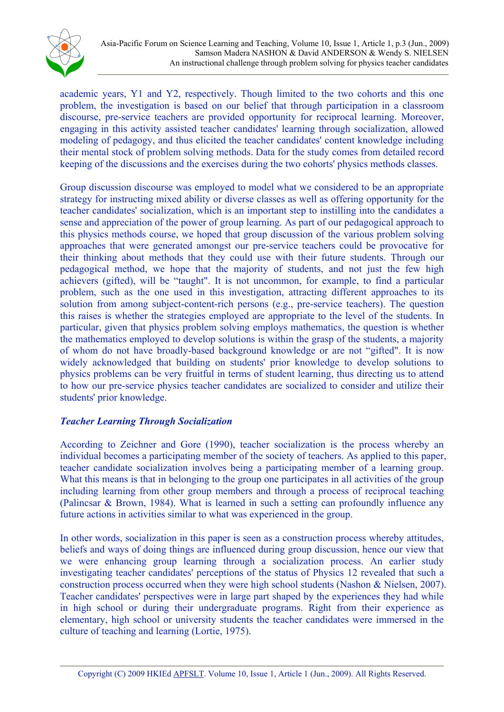

academic years, Y1 and Y2, respectively. Though limited to the two cohorts and this one problem, the investigation is based on our belief that through participation in a classroom discourse, pre-service teachers are provided opportunity for reciprocal learning. Moreover, engaging in this activity assisted teacher candidates' learning through socialization, allowed modeling of pedagogy, and thus elicited the teacher candidates' content knowledge including their mental stock of problem solving methods. Data for the study comes from detailed record keeping of the discussions and the exercises during the two cohorts' physics methods classes.

Group discussion discourse was employed to model what we considered to be an appropriate strategy for instructing mixed ability or diverse classes as well as offering opportunity for the teacher candidates' socialization, which is an important step to instilling into the candidates a sense and appreciation of the power of group learning. As part of our pedagogical approach to this physics methods course, we hoped that group discussion of the various problem solving approaches that were generated amongst our pre-service teachers could be provocative for their thinking about methods that they could use with their future students. Through our pedagogical method, we hope that the majority of students, and not just the few high achievers (gifted), will be "taught". It is not uncommon, for example, to find a particular problem, such as the one used in this investigation, attracting different approaches to its solution from among subject-content-rich persons (e.g., pre-service teachers). The question this raises is whether the strategies employed are appropriate to the level of the students. In particular, given that physics problem solving employs mathematics, the question is whether the mathematics employed to develop solutions is within the grasp of the students, a majority of whom do not have broadly-based background knowledge or are not "gifted". It is now widely acknowledged that building on students' prior knowledge to develop solutions to physics problems can be very fruitful in terms of student learning, thus directing us to attend to how our pre-service physics teacher candidates are socialized to consider and utilize their students' prior knowledge.

#### *Teacher Learning Through Socialization*

According to Zeichner and Gore (1990), teacher socialization is the process whereby an individual becomes a participating member of the society of teachers. As applied to this paper, teacher candidate socialization involves being a participating member of a learning group. What this means is that in belonging to the group one participates in all activities of the group including learning from other group members and through a process of reciprocal teaching (Palincsar & Brown, 1984). What is learned in such a setting can profoundly influence any future actions in activities similar to what was experienced in the group.

In other words, socialization in this paper is seen as a construction process whereby attitudes, beliefs and ways of doing things are influenced during group discussion, hence our view that we were enhancing group learning through a socialization process. An earlier study investigating teacher candidates' perceptions of the status of Physics 12 revealed that such a construction process occurred when they were high school students (Nashon & Nielsen, 2007). Teacher candidates' perspectives were in large part shaped by the experiences they had while in high school or during their undergraduate programs. Right from their experience as elementary, high school or university students the teacher candidates were immersed in the culture of teaching and learning (Lortie, 1975).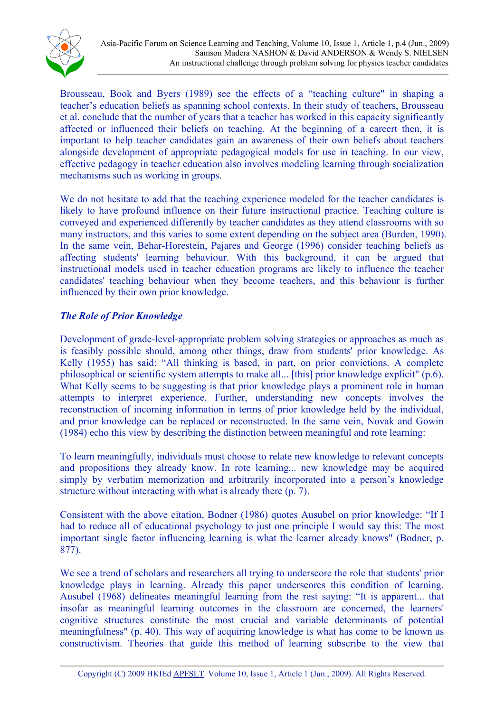

Brousseau, Book and Byers (1989) see the effects of a "teaching culture" in shaping a teacher's education beliefs as spanning school contexts. In their study of teachers, Brousseau et al. conclude that the number of years that a teacher has worked in this capacity significantly affected or influenced their beliefs on teaching. At the beginning of a careert then, it is important to help teacher candidates gain an awareness of their own beliefs about teachers alongside development of appropriate pedagogical models for use in teaching. In our view, effective pedagogy in teacher education also involves modeling learning through socialization mechanisms such as working in groups.

We do not hesitate to add that the teaching experience modeled for the teacher candidates is likely to have profound influence on their future instructional practice. Teaching culture is conveyed and experienced differently by teacher candidates as they attend classrooms with so many instructors, and this varies to some extent depending on the subject area (Burden, 1990). In the same vein, Behar-Horestein, Pajares and George (1996) consider teaching beliefs as affecting students' learning behaviour. With this background, it can be argued that instructional models used in teacher education programs are likely to influence the teacher candidates' teaching behaviour when they become teachers, and this behaviour is further influenced by their own prior knowledge.

### *The Role of Prior Knowledge*

Development of grade-level-appropriate problem solving strategies or approaches as much as is feasibly possible should, among other things, draw from students' prior knowledge. As Kelly (1955) has said: "All thinking is based, in part, on prior convictions. A complete philosophical or scientific system attempts to make all... [this] prior knowledge explicit" (p.6). What Kelly seems to be suggesting is that prior knowledge plays a prominent role in human attempts to interpret experience. Further, understanding new concepts involves the reconstruction of incoming information in terms of prior knowledge held by the individual, and prior knowledge can be replaced or reconstructed. In the same vein, Novak and Gowin (1984) echo this view by describing the distinction between meaningful and rote learning:

To learn meaningfully, individuals must choose to relate new knowledge to relevant concepts and propositions they already know. In rote learning... new knowledge may be acquired simply by verbatim memorization and arbitrarily incorporated into a person's knowledge structure without interacting with what is already there (p. 7).

Consistent with the above citation, Bodner (1986) quotes Ausubel on prior knowledge: "If I had to reduce all of educational psychology to just one principle I would say this: The most important single factor influencing learning is what the learner already knows" (Bodner, p. 877).

We see a trend of scholars and researchers all trying to underscore the role that students' prior knowledge plays in learning. Already this paper underscores this condition of learning. Ausubel (1968) delineates meaningful learning from the rest saying: "It is apparent... that insofar as meaningful learning outcomes in the classroom are concerned, the learners' cognitive structures constitute the most crucial and variable determinants of potential meaningfulness" (p. 40). This way of acquiring knowledge is what has come to be known as constructivism. Theories that guide this method of learning subscribe to the view that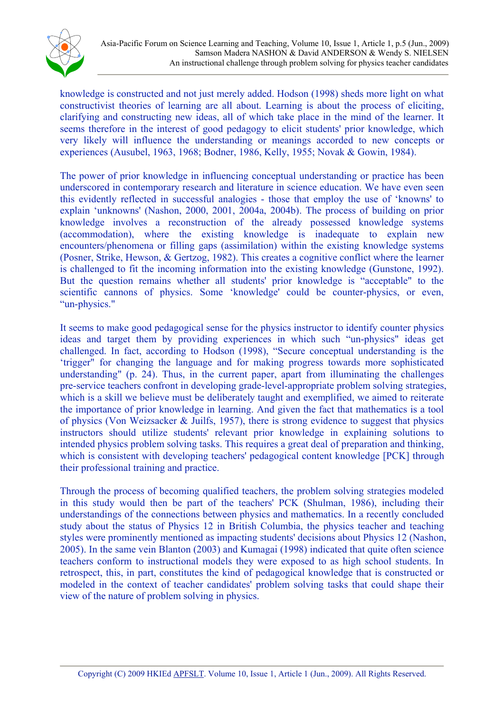

knowledge is constructed and not just merely added. Hodson (1998) sheds more light on what constructivist theories of learning are all about. Learning is about the process of eliciting, clarifying and constructing new ideas, all of which take place in the mind of the learner. It seems therefore in the interest of good pedagogy to elicit students' prior knowledge, which very likely will influence the understanding or meanings accorded to new concepts or experiences (Ausubel, 1963, 1968; Bodner, 1986, Kelly, 1955; Novak & Gowin, 1984).

The power of prior knowledge in influencing conceptual understanding or practice has been underscored in contemporary research and literature in science education. We have even seen this evidently reflected in successful analogies - those that employ the use of 'knowns' to explain 'unknowns' (Nashon, 2000, 2001, 2004a, 2004b). The process of building on prior knowledge involves a reconstruction of the already possessed knowledge systems (accommodation), where the existing knowledge is inadequate to explain new encounters/phenomena or filling gaps (assimilation) within the existing knowledge systems (Posner, Strike, Hewson, & Gertzog, 1982). This creates a cognitive conflict where the learner is challenged to fit the incoming information into the existing knowledge (Gunstone, 1992). But the question remains whether all students' prior knowledge is "acceptable" to the scientific cannons of physics. Some 'knowledge' could be counter-physics, or even, "un-physics."

It seems to make good pedagogical sense for the physics instructor to identify counter physics ideas and target them by providing experiences in which such "un-physics" ideas get challenged. In fact, according to Hodson (1998), "Secure conceptual understanding is the 'trigger" for changing the language and for making progress towards more sophisticated understanding" (p. 24). Thus, in the current paper, apart from illuminating the challenges pre-service teachers confront in developing grade-level-appropriate problem solving strategies, which is a skill we believe must be deliberately taught and exemplified, we aimed to reiterate the importance of prior knowledge in learning. And given the fact that mathematics is a tool of physics (Von Weizsacker & Juilfs, 1957), there is strong evidence to suggest that physics instructors should utilize students' relevant prior knowledge in explaining solutions to intended physics problem solving tasks. This requires a great deal of preparation and thinking, which is consistent with developing teachers' pedagogical content knowledge [PCK] through their professional training and practice.

Through the process of becoming qualified teachers, the problem solving strategies modeled in this study would then be part of the teachers' PCK (Shulman, 1986), including their understandings of the connections between physics and mathematics. In a recently concluded study about the status of Physics 12 in British Columbia, the physics teacher and teaching styles were prominently mentioned as impacting students' decisions about Physics 12 (Nashon, 2005). In the same vein Blanton (2003) and Kumagai (1998) indicated that quite often science teachers conform to instructional models they were exposed to as high school students. In retrospect, this, in part, constitutes the kind of pedagogical knowledge that is constructed or modeled in the context of teacher candidates' problem solving tasks that could shape their view of the nature of problem solving in physics.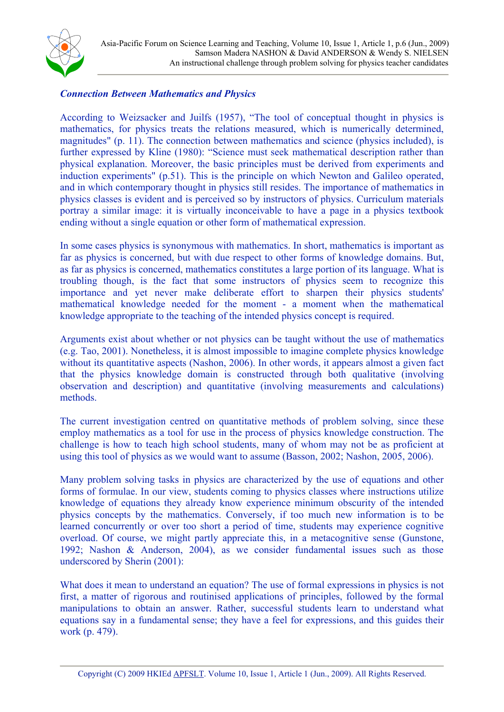

#### *Connection Between Mathematics and Physics*

According to Weizsacker and Juilfs (1957), "The tool of conceptual thought in physics is mathematics, for physics treats the relations measured, which is numerically determined, magnitudes" (p. 11). The connection between mathematics and science (physics included), is further expressed by Kline (1980): "Science must seek mathematical description rather than physical explanation. Moreover, the basic principles must be derived from experiments and induction experiments" (p.51). This is the principle on which Newton and Galileo operated, and in which contemporary thought in physics still resides. The importance of mathematics in physics classes is evident and is perceived so by instructors of physics. Curriculum materials portray a similar image: it is virtually inconceivable to have a page in a physics textbook ending without a single equation or other form of mathematical expression.

In some cases physics is synonymous with mathematics. In short, mathematics is important as far as physics is concerned, but with due respect to other forms of knowledge domains. But, as far as physics is concerned, mathematics constitutes a large portion of its language. What is troubling though, is the fact that some instructors of physics seem to recognize this importance and yet never make deliberate effort to sharpen their physics students' mathematical knowledge needed for the moment - a moment when the mathematical knowledge appropriate to the teaching of the intended physics concept is required.

Arguments exist about whether or not physics can be taught without the use of mathematics (e.g. Tao, 2001). Nonetheless, it is almost impossible to imagine complete physics knowledge without its quantitative aspects (Nashon, 2006). In other words, it appears almost a given fact that the physics knowledge domain is constructed through both qualitative (involving observation and description) and quantitative (involving measurements and calculations) methods.

The current investigation centred on quantitative methods of problem solving, since these employ mathematics as a tool for use in the process of physics knowledge construction. The challenge is how to teach high school students, many of whom may not be as proficient at using this tool of physics as we would want to assume (Basson, 2002; Nashon, 2005, 2006).

Many problem solving tasks in physics are characterized by the use of equations and other forms of formulae. In our view, students coming to physics classes where instructions utilize knowledge of equations they already know experience minimum obscurity of the intended physics concepts by the mathematics. Conversely, if too much new information is to be learned concurrently or over too short a period of time, students may experience cognitive overload. Of course, we might partly appreciate this, in a metacognitive sense (Gunstone, 1992; Nashon & Anderson, 2004), as we consider fundamental issues such as those underscored by Sherin (2001):

What does it mean to understand an equation? The use of formal expressions in physics is not first, a matter of rigorous and routinised applications of principles, followed by the formal manipulations to obtain an answer. Rather, successful students learn to understand what equations say in a fundamental sense; they have a feel for expressions, and this guides their work (p. 479).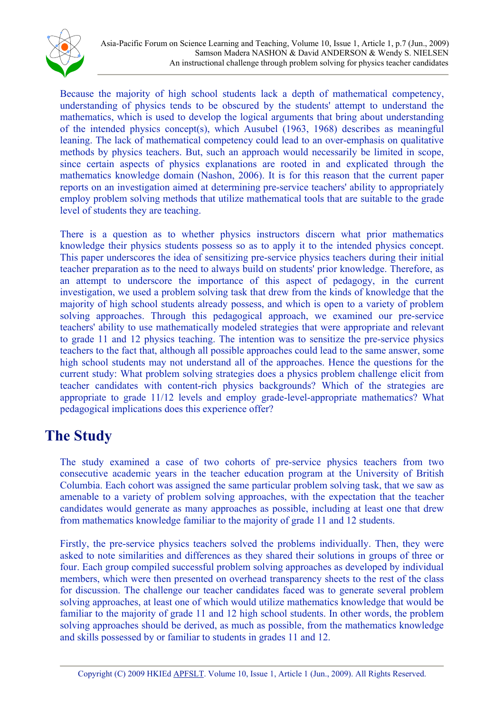

Because the majority of high school students lack a depth of mathematical competency, understanding of physics tends to be obscured by the students' attempt to understand the mathematics, which is used to develop the logical arguments that bring about understanding of the intended physics concept(s), which Ausubel (1963, 1968) describes as meaningful leaning. The lack of mathematical competency could lead to an over-emphasis on qualitative methods by physics teachers. But, such an approach would necessarily be limited in scope, since certain aspects of physics explanations are rooted in and explicated through the mathematics knowledge domain (Nashon, 2006). It is for this reason that the current paper reports on an investigation aimed at determining pre-service teachers' ability to appropriately employ problem solving methods that utilize mathematical tools that are suitable to the grade level of students they are teaching.

There is a question as to whether physics instructors discern what prior mathematics knowledge their physics students possess so as to apply it to the intended physics concept. This paper underscores the idea of sensitizing pre-service physics teachers during their initial teacher preparation as to the need to always build on students' prior knowledge. Therefore, as an attempt to underscore the importance of this aspect of pedagogy, in the current investigation, we used a problem solving task that drew from the kinds of knowledge that the majority of high school students already possess, and which is open to a variety of problem solving approaches. Through this pedagogical approach, we examined our pre-service teachers' ability to use mathematically modeled strategies that were appropriate and relevant to grade 11 and 12 physics teaching. The intention was to sensitize the pre-service physics teachers to the fact that, although all possible approaches could lead to the same answer, some high school students may not understand all of the approaches. Hence the questions for the current study: What problem solving strategies does a physics problem challenge elicit from teacher candidates with content-rich physics backgrounds? Which of the strategies are appropriate to grade 11/12 levels and employ grade-level-appropriate mathematics? What pedagogical implications does this experience offer?

# **The Study**

The study examined a case of two cohorts of pre-service physics teachers from two consecutive academic years in the teacher education program at the University of British Columbia. Each cohort was assigned the same particular problem solving task, that we saw as amenable to a variety of problem solving approaches, with the expectation that the teacher candidates would generate as many approaches as possible, including at least one that drew from mathematics knowledge familiar to the majority of grade 11 and 12 students.

<span id="page-7-0"></span>Firstly, the pre-service physics teachers solved the problems individually. Then, they were asked to note similarities and differences as they shared their solutions in groups of three or four. Each group compiled successful problem solving approaches as developed by individual members, which were then presented on overhead transparency sheets to the rest of the class for discussion. The challenge our teacher candidates faced was to generate several problem solving approaches, at least one of which would utilize mathematics knowledge that would be familiar to the majority of grade 11 and 12 high school students. In other words, the problem solving approaches should be derived, as much as possible, from the mathematics knowledge and skills possessed by or familiar to students in grades 11 and 12.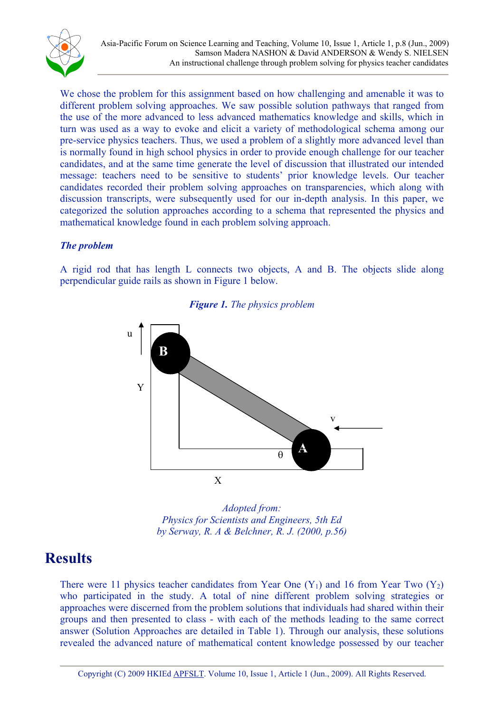

We chose the problem for this assignment based on how challenging and amenable it was to different problem solving approaches. We saw possible solution pathways that ranged from the use of the more advanced to less advanced mathematics knowledge and skills, which in turn was used as a way to evoke and elicit a variety of methodological schema among our pre-service physics teachers. Thus, we used a problem of a slightly more advanced level than is normally found in high school physics in order to provide enough challenge for our teacher candidates, and at the same time generate the level of discussion that illustrated our intended message: teachers need to be sensitive to students' prior knowledge levels. Our teacher candidates recorded their problem solving approaches on transparencies, which along with discussion transcripts, were subsequently used for our in-depth analysis. In this paper, we categorized the solution approaches according to a schema that represented the physics and mathematical knowledge found in each problem solving approach.

### *The problem*

A rigid rod that has length L connects two objects, A and B. The objects slide along perpendicular guide rails as shown in Figure 1 below.



#### *Figure 1. The physics problem*



### **Results**

<span id="page-8-0"></span>There were 11 physics teacher candidates from Year One  $(Y_1)$  and 16 from Year Two  $(Y_2)$ who participated in the study. A total of nine different problem solving strategies or approaches were discerned from the problem solutions that individuals had shared within their groups and then presented to class - with each of the methods leading to the same correct answer (Solution Approaches are detailed in Table 1). Through our analysis, these solutions revealed the advanced nature of mathematical content knowledge possessed by our teacher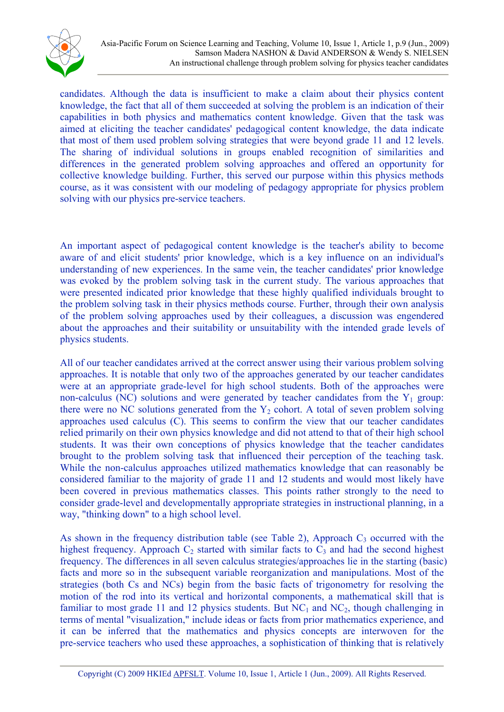

candidates. Although the data is insufficient to make a claim about their physics content knowledge, the fact that all of them succeeded at solving the problem is an indication of their capabilities in both physics and mathematics content knowledge. Given that the task was aimed at eliciting the teacher candidates' pedagogical content knowledge, the data indicate that most of them used problem solving strategies that were beyond grade 11 and 12 levels. The sharing of individual solutions in groups enabled recognition of similarities and differences in the generated problem solving approaches and offered an opportunity for collective knowledge building. Further, this served our purpose within this physics methods course, as it was consistent with our modeling of pedagogy appropriate for physics problem solving with our physics pre-service teachers.

An important aspect of pedagogical content knowledge is the teacher's ability to become aware of and elicit students' prior knowledge, which is a key influence on an individual's understanding of new experiences. In the same vein, the teacher candidates' prior knowledge was evoked by the problem solving task in the current study. The various approaches that were presented indicated prior knowledge that these highly qualified individuals brought to the problem solving task in their physics methods course. Further, through their own analysis of the problem solving approaches used by their colleagues, a discussion was engendered about the approaches and their suitability or unsuitability with the intended grade levels of physics students.

All of our teacher candidates arrived at the correct answer using their various problem solving approaches. It is notable that only two of the approaches generated by our teacher candidates were at an appropriate grade-level for high school students. Both of the approaches were non-calculus (NC) solutions and were generated by teacher candidates from the  $Y_1$  group: there were no NC solutions generated from the  $Y_2$  cohort. A total of seven problem solving approaches used calculus (C). This seems to confirm the view that our teacher candidates relied primarily on their own physics knowledge and did not attend to that of their high school students. It was their own conceptions of physics knowledge that the teacher candidates brought to the problem solving task that influenced their perception of the teaching task. While the non-calculus approaches utilized mathematics knowledge that can reasonably be considered familiar to the majority of grade 11 and 12 students and would most likely have been covered in previous mathematics classes. This points rather strongly to the need to consider grade-level and developmentally appropriate strategies in instructional planning, in a way, "thinking down" to a high school level.

As shown in the frequency distribution table (see Table 2), Approach  $C_3$  occurred with the highest frequency. Approach  $C_2$  started with similar facts to  $C_3$  and had the second highest frequency. The differences in all seven calculus strategies/approaches lie in the starting (basic) facts and more so in the subsequent variable reorganization and manipulations. Most of the strategies (both Cs and NCs) begin from the basic facts of trigonometry for resolving the motion of the rod into its vertical and horizontal components, a mathematical skill that is familiar to most grade 11 and 12 physics students. But  $NC_1$  and  $NC_2$ , though challenging in terms of mental "visualization," include ideas or facts from prior mathematics experience, and it can be inferred that the mathematics and physics concepts are interwoven for the pre-service teachers who used these approaches, a sophistication of thinking that is relatively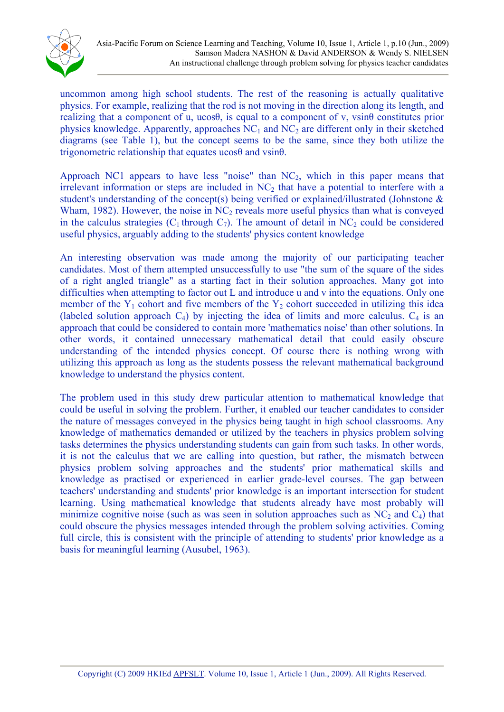

uncommon among high school students. The rest of the reasoning is actually qualitative physics. For example, realizing that the rod is not moving in the direction along its length, and realizing that a component of u, ucos $\theta$ , is equal to a component of v, vsin $\theta$  constitutes prior physics knowledge. Apparently, approaches  $NC_1$  and  $NC_2$  are different only in their sketched diagrams (see Table 1), but the concept seems to be the same, since they both utilize the trigonometric relationship that equates ucos $\theta$  and vsin $\theta$ .

Approach NC1 appears to have less "noise" than  $NC_2$ , which in this paper means that irrelevant information or steps are included in  $NC<sub>2</sub>$  that have a potential to interfere with a student's understanding of the concept(s) being verified or explained/illustrated (Johnstone & Wham, 1982). However, the noise in  $NC_2$  reveals more useful physics than what is conveyed in the calculus strategies  $(C_1$  through  $C_7$ ). The amount of detail in NC<sub>2</sub> could be considered useful physics, arguably adding to the students' physics content knowledge

An interesting observation was made among the majority of our participating teacher candidates. Most of them attempted unsuccessfully to use "the sum of the square of the sides of a right angled triangle" as a starting fact in their solution approaches. Many got into difficulties when attempting to factor out L and introduce u and v into the equations. Only one member of the  $Y_1$  cohort and five members of the  $Y_2$  cohort succeeded in utilizing this idea (labeled solution approach  $C_4$ ) by injecting the idea of limits and more calculus.  $C_4$  is an approach that could be considered to contain more 'mathematics noise' than other solutions. In other words, it contained unnecessary mathematical detail that could easily obscure understanding of the intended physics concept. Of course there is nothing wrong with utilizing this approach as long as the students possess the relevant mathematical background knowledge to understand the physics content.

The problem used in this study drew particular attention to mathematical knowledge that could be useful in solving the problem. Further, it enabled our teacher candidates to consider the nature of messages conveyed in the physics being taught in high school classrooms. Any knowledge of mathematics demanded or utilized by the teachers in physics problem solving tasks determines the physics understanding students can gain from such tasks. In other words, it is not the calculus that we are calling into question, but rather, the mismatch between physics problem solving approaches and the students' prior mathematical skills and knowledge as practised or experienced in earlier grade-level courses. The gap between teachers' understanding and students' prior knowledge is an important intersection for student learning. Using mathematical knowledge that students already have most probably will minimize cognitive noise (such as was seen in solution approaches such as  $NC_2$  and  $C_4$ ) that could obscure the physics messages intended through the problem solving activities. Coming full circle, this is consistent with the principle of attending to students' prior knowledge as a basis for meaningful learning (Ausubel, 1963).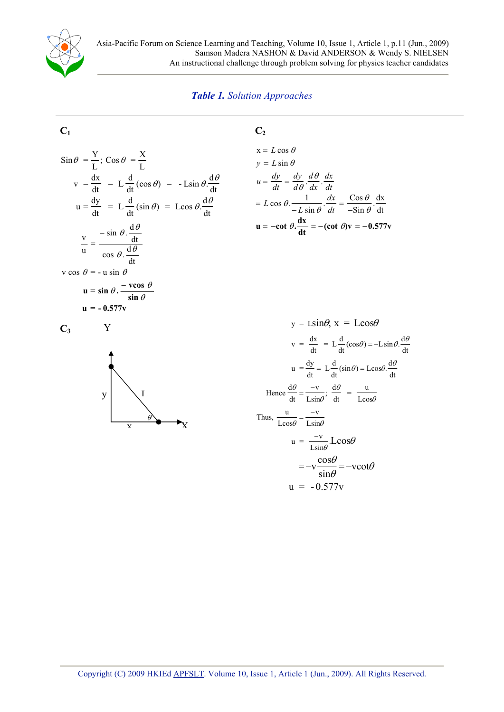

#### *Table 1. Solution Approaches*

**C2**

### **C1**

$$
\sin \theta = \frac{Y}{L}; \cos \theta = \frac{X}{L}
$$
  

$$
v = \frac{dx}{dt} = L \frac{d}{dt} (\cos \theta) = -L \sin \theta \frac{d\theta}{dt}
$$
  

$$
u = \frac{dy}{dt} = L \frac{d}{dt} (\sin \theta) = L \cos \theta \frac{d\theta}{dt}
$$
  

$$
\frac{v}{u} = \frac{-\sin \theta \cdot \frac{d\theta}{dt}}{\cos \theta \cdot \frac{d\theta}{dt}}
$$
  

$$
v \cos \theta = -u \sin \theta
$$
  

$$
u = \sin \theta \cdot \frac{-v \cos \theta}{\sin \theta}
$$
  

$$
u = -0.577v
$$

$$
C_3
$$

Y



$$
x = L \cos \theta
$$
  
\n
$$
y = L \sin \theta
$$
  
\n
$$
u = \frac{dy}{dt} = \frac{dy}{d\theta} \cdot \frac{d\theta}{dx} \cdot \frac{dx}{dt}
$$
  
\n
$$
= L \cos \theta \cdot \frac{1}{-L \sin \theta} \cdot \frac{dx}{dt} = \frac{\cos \theta}{-\sin \theta} \cdot \frac{dx}{dt}
$$
  
\n
$$
u = -\cot \theta \cdot \frac{dx}{dt} = -(\cot \theta)v = -0.577v
$$

$$
y = L\sin\theta, x = L\cos\theta
$$
  
\n
$$
v = \frac{dx}{dt} = L\frac{d}{dt}(\cos\theta) = -L\sin\theta \cdot \frac{d\theta}{dt}
$$
  
\n
$$
u = \frac{dy}{dt} = L\frac{d}{dt}(\sin\theta) = L\cos\theta \cdot \frac{d\theta}{dt}
$$
  
\nHence  $\frac{d\theta}{dt} = \frac{-v}{L\sin\theta}$ ;  $\frac{d\theta}{dt} = \frac{u}{L\cos\theta}$   
\nThus,  $\frac{u}{L\cos\theta} = \frac{-v}{L\sin\theta}$   
\n
$$
u = \frac{-v}{L\sin\theta}L\cos\theta
$$
  
\n
$$
= -v\frac{\cos\theta}{\sin\theta} = -v\cot\theta
$$
  
\n
$$
u = -0.577v
$$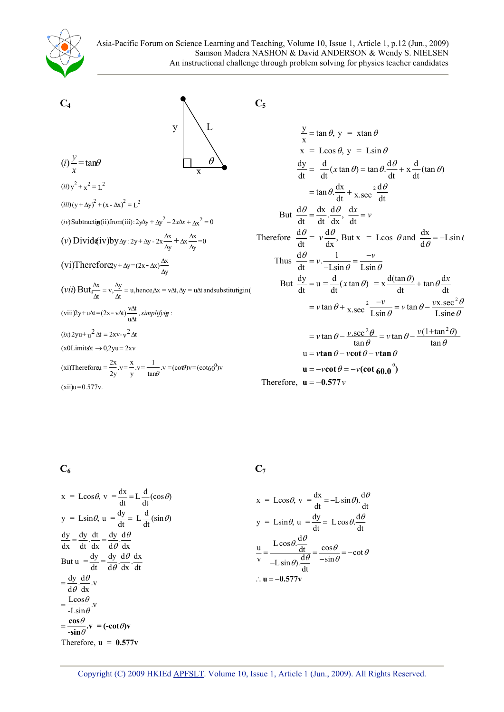



$$
\frac{y}{x} = \tan \theta, y = x \tan \theta
$$
\n
$$
x = \text{Lcos} \theta, y = \text{Lsin} \theta
$$
\n
$$
\frac{dy}{dt} = \frac{d}{dt} (x \tan \theta) = \tan \theta \cdot \frac{d\theta}{dt} + x \frac{d}{dt} (\tan \theta)
$$
\n
$$
= \tan \theta \cdot \frac{dx}{dt} + x \sec^2 \frac{d\theta}{dt}
$$
\nBut  $\frac{d\theta}{dt} = \frac{dx}{dt} \cdot \frac{d\theta}{dx}, \frac{dx}{dt} = v$ \nTherefore  $\frac{d\theta}{dt} = v \frac{d\theta}{dx}, \text{ But } x = \text{Lcos} \theta \text{ and } \frac{dx}{d\theta} = -\text{Lsin} \theta$ \nThus  $\frac{d\theta}{dt} = v \cdot \frac{1}{-\text{Lsin} \theta} = \frac{-v}{\text{Lsin} \theta}$ \nBut  $\frac{dy}{dt} = u = \frac{d}{dt} (x \tan \theta) = x \frac{d(\tan \theta)}{dt} + \tan \theta \frac{dx}{dt}$ \n
$$
= v \tan \theta + x \sec^2 \frac{-v}{\text{Lsin} \theta} = v \tan \theta - \frac{vx \sec^2 \theta}{\text{Lsin} \theta}
$$
\n
$$
= v \tan \theta - \frac{v \sec^2 \theta}{\tan \theta} = v \tan \theta - \frac{v(1 + \tan^2 \theta)}{\tan \theta}
$$
\n
$$
u = v \tan \theta - v \cot \theta - v \tan \theta
$$
\n
$$
u = -v \cot \theta = -v (\cot 60.0^\circ)
$$
\nTherefore,  $u = 0.577v$ 

Therefore, 
$$
\mathbf{u} = -0.577 v
$$

**C6**

 $=\frac{\cos\theta}{-\sin\theta}$ .v = (-cot $\theta$ )v Therefore,  $\mathbf{u} = 0.577\mathbf{v}$  **C7**

$$
x = \text{Loss}\theta, v = \frac{dx}{dt} = L\frac{d}{dt}(\cos\theta)
$$
\n
$$
y = \text{L}\sin\theta, u = \frac{dy}{dt} = L\frac{d}{dt}(\sin\theta)
$$
\n
$$
y = \text{L}\sin\theta, u = \frac{dy}{dt} = L\frac{d}{dt}(\sin\theta)
$$
\n
$$
y = \text{L}\sin\theta, u = \frac{dy}{dt} = L\cos\theta.\frac{d\theta}{dt}
$$
\n
$$
y = \text{L}\sin\theta, u = \frac{dy}{dt} = L\cos\theta.\frac{d\theta}{dt}
$$
\n
$$
y = \text{L}\sin\theta, u = \frac{dy}{dt} = L\cos\theta.\frac{d\theta}{dt}
$$
\n
$$
y = \text{L}\sin\theta, u = \frac{dy}{dt} = L\cos\theta.\frac{d\theta}{dt}
$$
\n
$$
y = \text{L}\sin\theta, u = \frac{dy}{dt} = L\cos\theta.\frac{d\theta}{dt}
$$
\n
$$
y = \text{L}\sin\theta, u = \frac{dy}{dt} = L\cos\theta.\frac{d\theta}{dt}
$$
\n
$$
y = \text{L}\sin\theta, u = \frac{dy}{dt} = L\cos\theta.\frac{d\theta}{dt}
$$
\n
$$
y = \text{L}\sin\theta, u = \frac{dy}{dt} = L\cos\theta.\frac{d\theta}{dt}
$$
\n
$$
y = \text{L}\sin\theta, u = \frac{dy}{dt} = L\cos\theta.\frac{d\theta}{dt}
$$
\n
$$
y = \text{L}\sin\theta, u = \frac{dy}{dt} = L\cos\theta.\frac{d\theta}{dt}
$$
\n
$$
y = \text{L}\sin\theta, u = \frac{dy}{dt} = L\cos\theta.\frac{d\theta}{dt}
$$
\n
$$
v = \text{L}\sin\theta.\frac{d\theta}{dt} = -\cot\theta.\frac{d\theta}{dt}
$$
\n
$$
v = \text{L}\sin\theta.\frac{d\theta}{dt} = -\cot\theta.\frac{d\theta}{dt} = -\cot\theta.\frac{d\theta}{dt} = -\cot\theta.\frac{d\theta}{dt} = -\cot\theta.\frac{d\theta}{dt} = -\cot\theta.\frac{d\theta}{dt} = -\cot\theta.\frac{d\
$$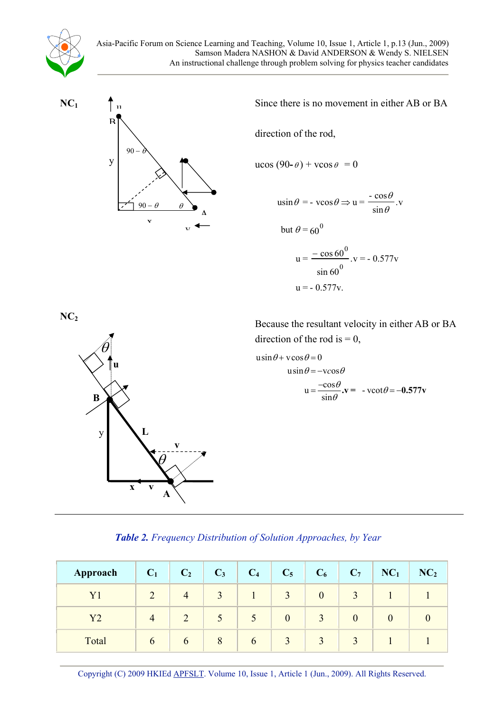

**NC1** 



Since there is no movement in either AB or BA

direction of the rod,

 $ucos (90-*e*)$  +  $vcos e = 0$ 

$$
\begin{aligned} \n\text{u}\sin\theta &= -\text{v}\cos\theta \Rightarrow \mathbf{u} = \frac{-\cos\theta}{\sin\theta}. \mathbf{v} \\ \n\text{but } \theta &= 60^{\circ} \\ \n\mathbf{u} &= \frac{-\cos 60^{\circ}}{\sin 60}. \mathbf{v} = -0.577 \mathbf{v} \n\end{aligned}
$$

$$
u = -0.577v.
$$



**NC2** Because the resultant velocity in either AB or BA direction of the rod is  $= 0$ ,

$$
u\sin\theta + v\cos\theta = 0
$$
  

$$
u\sin\theta = -v\cos\theta
$$
  

$$
u = \frac{-\cos\theta}{\sin\theta} \cdot v = -v\cot\theta = -0.577v
$$

#### *Table 2. Frequency Distribution of Solution Approaches, by Year*

| Approach | $C_1$         | C <sub>2</sub> | $C_3$         | C <sub>4</sub> | $C_5$            | $C_6$        | $C_7$            | NC <sub>1</sub> | NC <sub>2</sub> |
|----------|---------------|----------------|---------------|----------------|------------------|--------------|------------------|-----------------|-----------------|
| $\rm Y1$ |               | 4              | 3             |                | 3                | $\mathbf{0}$ | 3                |                 |                 |
| Y2       |               |                | $\mathcal{L}$ | $\mathcal{L}$  | $\boldsymbol{0}$ | 3            | $\boldsymbol{0}$ | $\bf{0}$        |                 |
| Total    | $\mathfrak b$ | $\mathfrak b$  | 8             | $\mathbf b$    | 3                | 3            | 3                |                 |                 |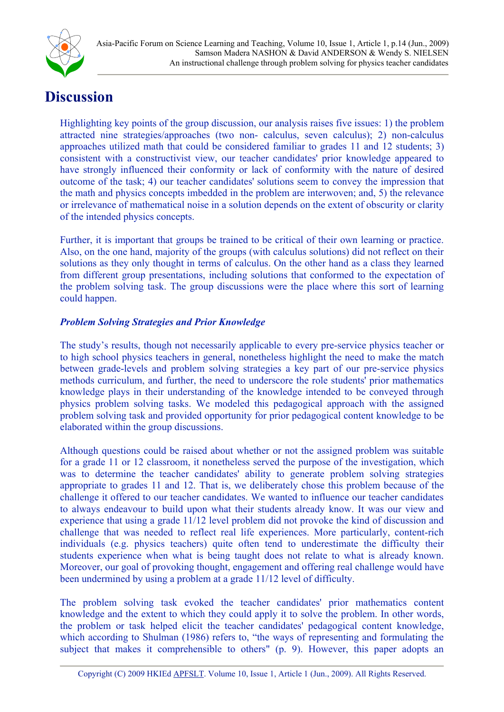

## **Discussion**

Highlighting key points of the group discussion, our analysis raises five issues: 1) the problem attracted nine strategies/approaches (two non- calculus, seven calculus); 2) non-calculus approaches utilized math that could be considered familiar to grades 11 and 12 students; 3) consistent with a constructivist view, our teacher candidates' prior knowledge appeared to have strongly influenced their conformity or lack of conformity with the nature of desired outcome of the task; 4) our teacher candidates' solutions seem to convey the impression that the math and physics concepts imbedded in the problem are interwoven; and, 5) the relevance or irrelevance of mathematical noise in a solution depends on the extent of obscurity or clarity of the intended physics concepts.

Further, it is important that groups be trained to be critical of their own learning or practice. Also, on the one hand, majority of the groups (with calculus solutions) did not reflect on their solutions as they only thought in terms of calculus. On the other hand as a class they learned from different group presentations, including solutions that conformed to the expectation of the problem solving task. The group discussions were the place where this sort of learning could happen.

### *Problem Solving Strategies and Prior Knowledge*

The study's results, though not necessarily applicable to every pre-service physics teacher or to high school physics teachers in general, nonetheless highlight the need to make the match between grade-levels and problem solving strategies a key part of our pre-service physics methods curriculum, and further, the need to underscore the role students' prior mathematics knowledge plays in their understanding of the knowledge intended to be conveyed through physics problem solving tasks. We modeled this pedagogical approach with the assigned problem solving task and provided opportunity for prior pedagogical content knowledge to be elaborated within the group discussions.

Although questions could be raised about whether or not the assigned problem was suitable for a grade 11 or 12 classroom, it nonetheless served the purpose of the investigation, which was to determine the teacher candidates' ability to generate problem solving strategies appropriate to grades 11 and 12. That is, we deliberately chose this problem because of the challenge it offered to our teacher candidates. We wanted to influence our teacher candidates to always endeavour to build upon what their students already know. It was our view and experience that using a grade 11/12 level problem did not provoke the kind of discussion and challenge that was needed to reflect real life experiences. More particularly, content-rich individuals (e.g. physics teachers) quite often tend to underestimate the difficulty their students experience when what is being taught does not relate to what is already known. Moreover, our goal of provoking thought, engagement and offering real challenge would have been undermined by using a problem at a grade 11/12 level of difficulty.

<span id="page-14-0"></span>The problem solving task evoked the teacher candidates' prior mathematics content knowledge and the extent to which they could apply it to solve the problem. In other words, the problem or task helped elicit the teacher candidates' pedagogical content knowledge, which according to Shulman (1986) refers to, "the ways of representing and formulating the subject that makes it comprehensible to others" (p. 9). However, this paper adopts an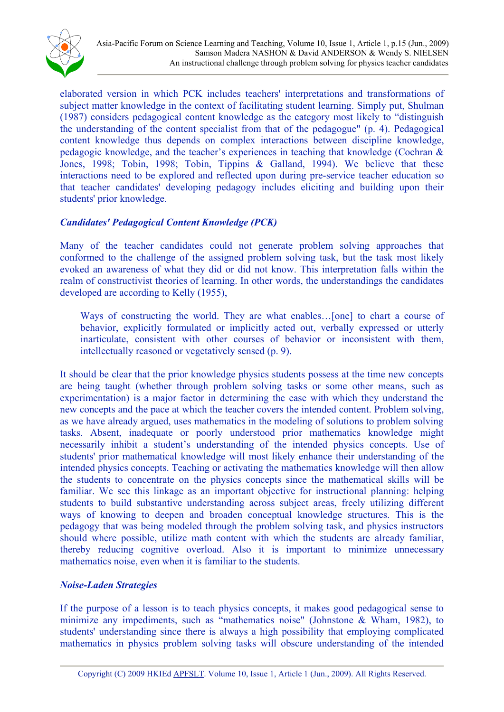

elaborated version in which PCK includes teachers' interpretations and transformations of subject matter knowledge in the context of facilitating student learning. Simply put, Shulman (1987) considers pedagogical content knowledge as the category most likely to "distinguish the understanding of the content specialist from that of the pedagogue" (p. 4). Pedagogical content knowledge thus depends on complex interactions between discipline knowledge, pedagogic knowledge, and the teacher's experiences in teaching that knowledge (Cochran & Jones, 1998; Tobin, 1998; Tobin, Tippins & Galland, 1994). We believe that these interactions need to be explored and reflected upon during pre-service teacher education so that teacher candidates' developing pedagogy includes eliciting and building upon their students' prior knowledge.

#### *Candidates' Pedagogical Content Knowledge (PCK)*

Many of the teacher candidates could not generate problem solving approaches that conformed to the challenge of the assigned problem solving task, but the task most likely evoked an awareness of what they did or did not know. This interpretation falls within the realm of constructivist theories of learning. In other words, the understandings the candidates developed are according to Kelly (1955),

Ways of constructing the world. They are what enables...[one] to chart a course of behavior, explicitly formulated or implicitly acted out, verbally expressed or utterly inarticulate, consistent with other courses of behavior or inconsistent with them, intellectually reasoned or vegetatively sensed (p. 9).

It should be clear that the prior knowledge physics students possess at the time new concepts are being taught (whether through problem solving tasks or some other means, such as experimentation) is a major factor in determining the ease with which they understand the new concepts and the pace at which the teacher covers the intended content. Problem solving, as we have already argued, uses mathematics in the modeling of solutions to problem solving tasks. Absent, inadequate or poorly understood prior mathematics knowledge might necessarily inhibit a student's understanding of the intended physics concepts. Use of students' prior mathematical knowledge will most likely enhance their understanding of the intended physics concepts. Teaching or activating the mathematics knowledge will then allow the students to concentrate on the physics concepts since the mathematical skills will be familiar. We see this linkage as an important objective for instructional planning: helping students to build substantive understanding across subject areas, freely utilizing different ways of knowing to deepen and broaden conceptual knowledge structures. This is the pedagogy that was being modeled through the problem solving task, and physics instructors should where possible, utilize math content with which the students are already familiar, thereby reducing cognitive overload. Also it is important to minimize unnecessary mathematics noise, even when it is familiar to the students.

#### *Noise-Laden Strategies*

If the purpose of a lesson is to teach physics concepts, it makes good pedagogical sense to minimize any impediments, such as "mathematics noise" (Johnstone & Wham, 1982), to students' understanding since there is always a high possibility that employing complicated mathematics in physics problem solving tasks will obscure understanding of the intended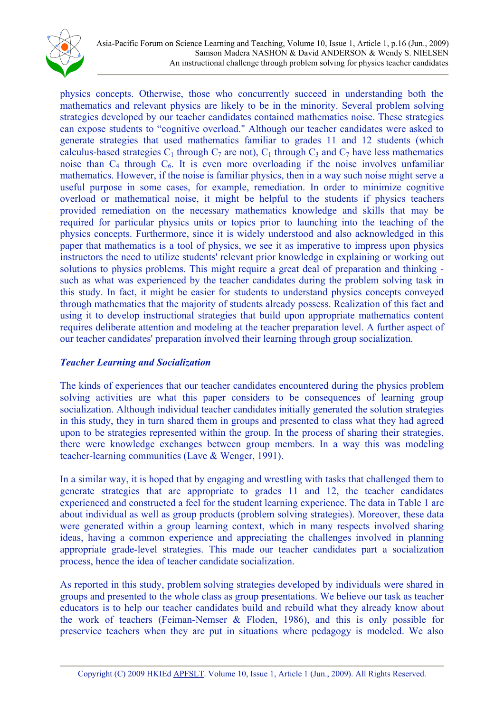

physics concepts. Otherwise, those who concurrently succeed in understanding both the mathematics and relevant physics are likely to be in the minority. Several problem solving strategies developed by our teacher candidates contained mathematics noise. These strategies can expose students to "cognitive overload." Although our teacher candidates were asked to generate strategies that used mathematics familiar to grades 11 and 12 students (which calculus-based strategies  $C_1$  through  $C_7$  are not),  $C_1$  through  $C_3$  and  $C_7$  have less mathematics noise than  $C_4$  through  $C_6$ . It is even more overloading if the noise involves unfamiliar mathematics. However, if the noise is familiar physics, then in a way such noise might serve a useful purpose in some cases, for example, remediation. In order to minimize cognitive overload or mathematical noise, it might be helpful to the students if physics teachers provided remediation on the necessary mathematics knowledge and skills that may be required for particular physics units or topics prior to launching into the teaching of the physics concepts. Furthermore, since it is widely understood and also acknowledged in this paper that mathematics is a tool of physics, we see it as imperative to impress upon physics instructors the need to utilize students' relevant prior knowledge in explaining or working out solutions to physics problems. This might require a great deal of preparation and thinking such as what was experienced by the teacher candidates during the problem solving task in this study. In fact, it might be easier for students to understand physics concepts conveyed through mathematics that the majority of students already possess. Realization of this fact and using it to develop instructional strategies that build upon appropriate mathematics content requires deliberate attention and modeling at the teacher preparation level. A further aspect of our teacher candidates' preparation involved their learning through group socialization.

#### *Teacher Learning and Socialization*

The kinds of experiences that our teacher candidates encountered during the physics problem solving activities are what this paper considers to be consequences of learning group socialization. Although individual teacher candidates initially generated the solution strategies in this study, they in turn shared them in groups and presented to class what they had agreed upon to be strategies represented within the group. In the process of sharing their strategies, there were knowledge exchanges between group members. In a way this was modeling teacher-learning communities (Lave & Wenger, 1991).

In a similar way, it is hoped that by engaging and wrestling with tasks that challenged them to generate strategies that are appropriate to grades 11 and 12, the teacher candidates experienced and constructed a feel for the student learning experience. The data in Table 1 are about individual as well as group products (problem solving strategies). Moreover, these data were generated within a group learning context, which in many respects involved sharing ideas, having a common experience and appreciating the challenges involved in planning appropriate grade-level strategies. This made our teacher candidates part a socialization process, hence the idea of teacher candidate socialization.

As reported in this study, problem solving strategies developed by individuals were shared in groups and presented to the whole class as group presentations. We believe our task as teacher educators is to help our teacher candidates build and rebuild what they already know about the work of teachers (Feiman-Nemser & Floden, 1986), and this is only possible for preservice teachers when they are put in situations where pedagogy is modeled. We also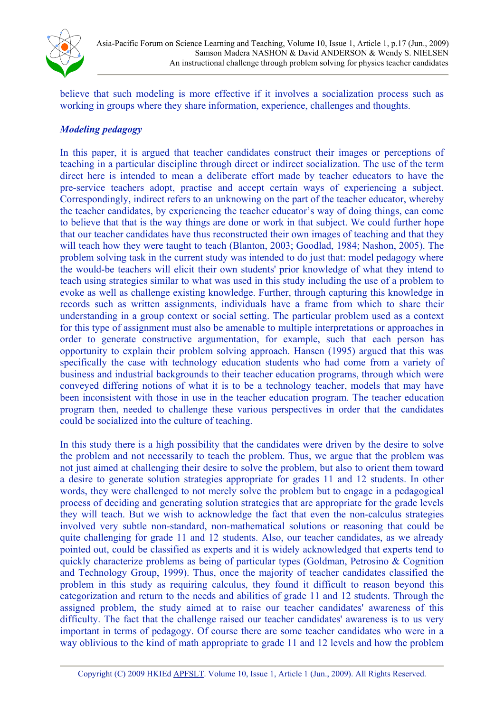

believe that such modeling is more effective if it involves a socialization process such as working in groups where they share information, experience, challenges and thoughts.

#### *Modeling pedagogy*

In this paper, it is argued that teacher candidates construct their images or perceptions of teaching in a particular discipline through direct or indirect socialization. The use of the term direct here is intended to mean a deliberate effort made by teacher educators to have the pre-service teachers adopt, practise and accept certain ways of experiencing a subject. Correspondingly, indirect refers to an unknowing on the part of the teacher educator, whereby the teacher candidates, by experiencing the teacher educator's way of doing things, can come to believe that that is the way things are done or work in that subject. We could further hope that our teacher candidates have thus reconstructed their own images of teaching and that they will teach how they were taught to teach (Blanton, 2003; Goodlad, 1984; Nashon, 2005). The problem solving task in the current study was intended to do just that: model pedagogy where the would-be teachers will elicit their own students' prior knowledge of what they intend to teach using strategies similar to what was used in this study including the use of a problem to evoke as well as challenge existing knowledge. Further, through capturing this knowledge in records such as written assignments, individuals have a frame from which to share their understanding in a group context or social setting. The particular problem used as a context for this type of assignment must also be amenable to multiple interpretations or approaches in order to generate constructive argumentation, for example, such that each person has opportunity to explain their problem solving approach. Hansen (1995) argued that this was specifically the case with technology education students who had come from a variety of business and industrial backgrounds to their teacher education programs, through which were conveyed differing notions of what it is to be a technology teacher, models that may have been inconsistent with those in use in the teacher education program. The teacher education program then, needed to challenge these various perspectives in order that the candidates could be socialized into the culture of teaching.

In this study there is a high possibility that the candidates were driven by the desire to solve the problem and not necessarily to teach the problem. Thus, we argue that the problem was not just aimed at challenging their desire to solve the problem, but also to orient them toward a desire to generate solution strategies appropriate for grades 11 and 12 students. In other words, they were challenged to not merely solve the problem but to engage in a pedagogical process of deciding and generating solution strategies that are appropriate for the grade levels they will teach. But we wish to acknowledge the fact that even the non-calculus strategies involved very subtle non-standard, non-mathematical solutions or reasoning that could be quite challenging for grade 11 and 12 students. Also, our teacher candidates, as we already pointed out, could be classified as experts and it is widely acknowledged that experts tend to quickly characterize problems as being of particular types (Goldman, Petrosino & Cognition and Technology Group, 1999). Thus, once the majority of teacher candidates classified the problem in this study as requiring calculus, they found it difficult to reason beyond this categorization and return to the needs and abilities of grade 11 and 12 students. Through the assigned problem, the study aimed at to raise our teacher candidates' awareness of this difficulty. The fact that the challenge raised our teacher candidates' awareness is to us very important in terms of pedagogy. Of course there are some teacher candidates who were in a way oblivious to the kind of math appropriate to grade 11 and 12 levels and how the problem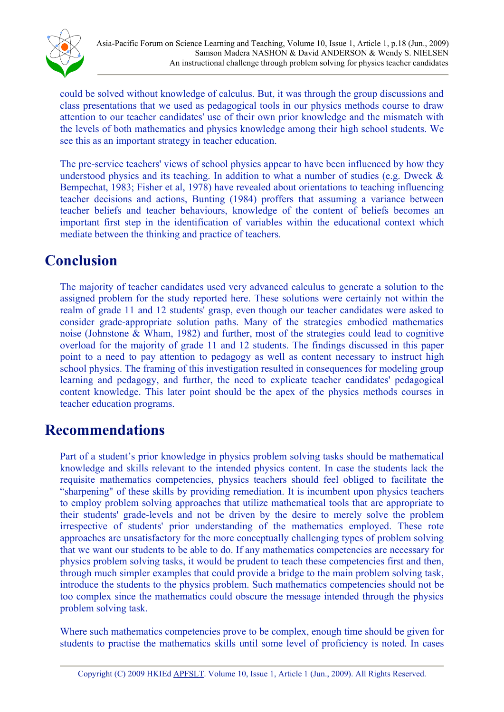

could be solved without knowledge of calculus. But, it was through the group discussions and class presentations that we used as pedagogical tools in our physics methods course to draw attention to our teacher candidates' use of their own prior knowledge and the mismatch with the levels of both mathematics and physics knowledge among their high school students. We see this as an important strategy in teacher education.

The pre-service teachers' views of school physics appear to have been influenced by how they understood physics and its teaching. In addition to what a number of studies (e.g. Dweck  $\&$ Bempechat, 1983; Fisher et al, 1978) have revealed about orientations to teaching influencing teacher decisions and actions, Bunting (1984) proffers that assuming a variance between teacher beliefs and teacher behaviours, knowledge of the content of beliefs becomes an important first step in the identification of variables within the educational context which mediate between the thinking and practice of teachers.

## **Conclusion**

The majority of teacher candidates used very advanced calculus to generate a solution to the assigned problem for the study reported here. These solutions were certainly not within the realm of grade 11 and 12 students' grasp, even though our teacher candidates were asked to consider grade-appropriate solution paths. Many of the strategies embodied mathematics noise (Johnstone & Wham, 1982) and further, most of the strategies could lead to cognitive overload for the majority of grade 11 and 12 students. The findings discussed in this paper point to a need to pay attention to pedagogy as well as content necessary to instruct high school physics. The framing of this investigation resulted in consequences for modeling group learning and pedagogy, and further, the need to explicate teacher candidates' pedagogical content knowledge. This later point should be the apex of the physics methods courses in teacher education programs.

### **Recommendations**

Part of a student's prior knowledge in physics problem solving tasks should be mathematical knowledge and skills relevant to the intended physics content. In case the students lack the requisite mathematics competencies, physics teachers should feel obliged to facilitate the "sharpening" of these skills by providing remediation. It is incumbent upon physics teachers to employ problem solving approaches that utilize mathematical tools that are appropriate to their students' grade-levels and not be driven by the desire to merely solve the problem irrespective of students' prior understanding of the mathematics employed. These rote approaches are unsatisfactory for the more conceptually challenging types of problem solving that we want our students to be able to do. If any mathematics competencies are necessary for physics problem solving tasks, it would be prudent to teach these competencies first and then, through much simpler examples that could provide a bridge to the main problem solving task, introduce the students to the physics problem. Such mathematics competencies should not be too complex since the mathematics could obscure the message intended through the physics problem solving task.

<span id="page-18-0"></span>Where such mathematics competencies prove to be complex, enough time should be given for students to practise the mathematics skills until some level of proficiency is noted. In cases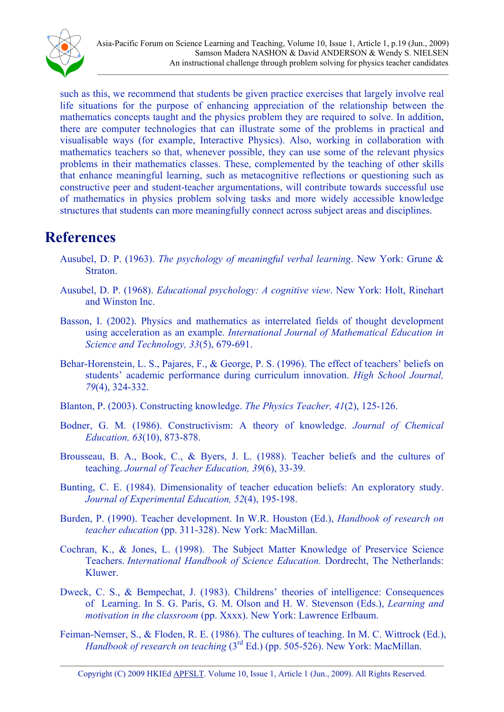

such as this, we recommend that students be given practice exercises that largely involve real life situations for the purpose of enhancing appreciation of the relationship between the mathematics concepts taught and the physics problem they are required to solve. In addition, there are computer technologies that can illustrate some of the problems in practical and visualisable ways (for example, Interactive Physics). Also, working in collaboration with mathematics teachers so that, whenever possible, they can use some of the relevant physics problems in their mathematics classes. These, complemented by the teaching of other skills that enhance meaningful learning, such as metacognitive reflections or questioning such as constructive peer and student-teacher argumentations, will contribute towards successful use of mathematics in physics problem solving tasks and more widely accessible knowledge structures that students can more meaningfully connect across subject areas and disciplines.

## **References**

- Ausubel, D. P. (1963). *The psychology of meaningful verbal learning*. New York: Grune & **Straton**
- Ausubel, D. P. (1968). *Educational psychology: A cognitive view*. New York: Holt, Rinehart and Winston Inc.
- Basson, I. (2002). Physics and mathematics as interrelated fields of thought development using acceleration as an example. *International Journal of Mathematical Education in Science and Technology, 33*(5), 679-691.
- Behar-Horenstein, L. S., Pajares, F., & George, P. S. (1996). The effect of teachers' beliefs on students' academic performance during curriculum innovation. *High School Journal, 79*(4), 324-332.
- Blanton, P. (2003). Constructing knowledge. *The Physics Teacher, 41*(2), 125-126.
- Bodner, G. M. (1986). Constructivism: A theory of knowledge. *Journal of Chemical Education, 63*(10), 873-878.
- Brousseau, B. A., Book, C., & Byers, J. L. (1988). Teacher beliefs and the cultures of teaching. *Journal of Teacher Education, 39*(6), 33-39.
- Bunting, C. E. (1984). Dimensionality of teacher education beliefs: An exploratory study. *Journal of Experimental Education, 52*(4), 195-198.
- Burden, P. (1990). Teacher development. In W.R. Houston (Ed.), *Handbook of research on teacher education* (pp. 311-328). New York: MacMillan.
- Cochran, K., & Jones, L. (1998). The Subject Matter Knowledge of Preservice Science Teachers. *International Handbook of Science Education.* Dordrecht, The Netherlands: Kluwer.
- Dweck, C. S., & Bempechat, J. (1983). Childrens' theories of intelligence: Consequences of Learning. In S. G. Paris, G. M. Olson and H. W. Stevenson (Eds.), *Learning and motivation in the classroom* (pp. Xxxx). New York: Lawrence Erlbaum.
- <span id="page-19-0"></span>Feiman-Nemser, S., & Floden, R. E. (1986). The cultures of teaching. In M. C. Wittrock (Ed.), *Handbook of research on teaching* (3<sup>rd</sup> Ed.) (pp. 505-526). New York: MacMillan.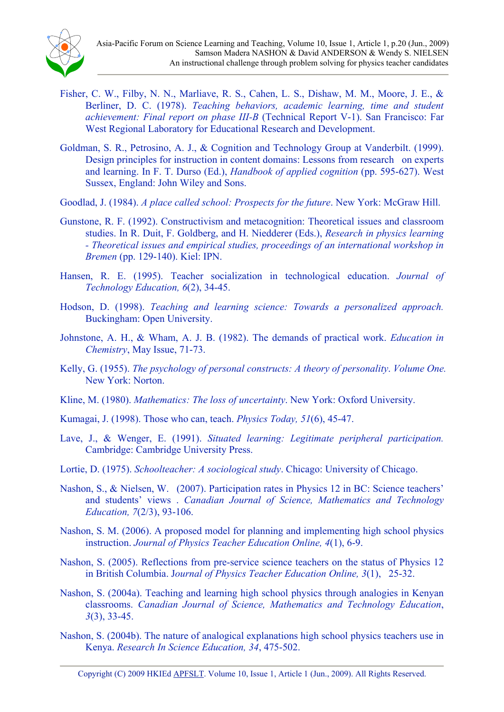- Fisher, C. W., Filby, N. N., Marliave, R. S., Cahen, L. S., Dishaw, M. M., Moore, J. E., & Berliner, D. C. (1978). *Teaching behaviors, academic learning, time and student achievement: Final report on phase III-B* (Technical Report V-1). San Francisco: Far West Regional Laboratory for Educational Research and Development.
- Goldman, S. R., Petrosino, A. J., & Cognition and Technology Group at Vanderbilt. (1999). Design principles for instruction in content domains: Lessons from research on experts and learning. In F. T. Durso (Ed.), *Handbook of applied cognition* (pp. 595-627). West Sussex, England: John Wiley and Sons.
- Goodlad, J. (1984). *A place called school: Prospects for the future*. New York: McGraw Hill.
- Gunstone, R. F. (1992). Constructivism and metacognition: Theoretical issues and classroom studies. In R. Duit, F. Goldberg, and H. Niedderer (Eds.), *Research in physics learning - Theoretical issues and empirical studies, proceedings of an international workshop in Bremen* (pp. 129-140). Kiel: IPN.
- Hansen, R. E. (1995). Teacher socialization in technological education. *Journal of Technology Education, 6*(2), 34-45.
- Hodson, D. (1998). *Teaching and learning science: Towards a personalized approach.* Buckingham: Open University.
- Johnstone, A. H., & Wham, A. J. B. (1982). The demands of practical work. *Education in Chemistry*, May Issue, 71-73.
- Kelly, G. (1955). *The psychology of personal constructs: A theory of personality*. *Volume One.*  New York: Norton.
- Kline, M. (1980). *Mathematics: The loss of uncertainty*. New York: Oxford University.
- Kumagai, J. (1998). Those who can, teach. *Physics Today, 51*(6), 45-47.
- Lave, J., & Wenger, E. (1991). *Situated learning: Legitimate peripheral participation.* Cambridge: Cambridge University Press.
- Lortie, D. (1975). *Schoolteacher: A sociological study*. Chicago: University of Chicago.
- Nashon, S., & Nielsen, W. (2007). Participation rates in Physics 12 in BC: Science teachers' and students' views . *Canadian Journal of Science, Mathematics and Technology Education, 7*(2/3), 93-106.
- Nashon, S. M. (2006). A proposed model for planning and implementing high school physics instruction. *Journal of Physics Teacher Education Online, 4*(1), 6-9.
- Nashon, S. (2005). Reflections from pre-service science teachers on the status of Physics 12 in British Columbia. J*ournal of Physics Teacher Education Online, 3*(1), 25-32.
- Nashon, S. (2004a). Teaching and learning high school physics through analogies in Kenyan classrooms. *Canadian Journal of Science, Mathematics and Technology Education*, *3*(3), 33-45.
- Nashon, S. (2004b). The nature of analogical explanations high school physics teachers use in Kenya. *Research In Science Education, 34*, 475-502.